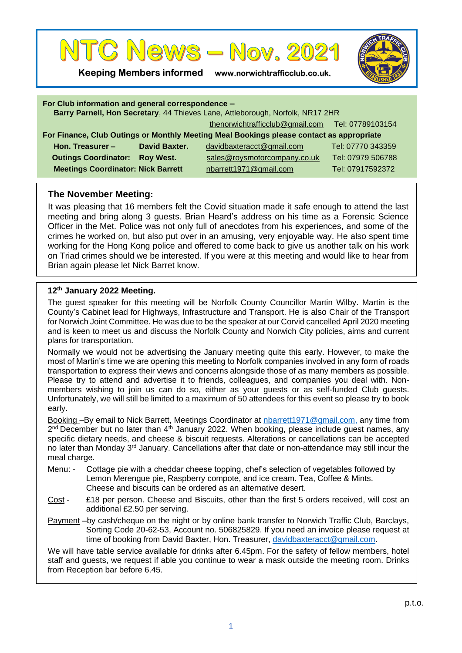

**Keeping Members informed www.norwichtrafficclub.co.uk.**



| For Club information and general correspondence -<br>Barry Parnell, Hon Secretary, 44 Thieves Lane, Attleborough, Norfolk, NR17 2HR |               |                                                  |                   |
|-------------------------------------------------------------------------------------------------------------------------------------|---------------|--------------------------------------------------|-------------------|
|                                                                                                                                     |               | thenorwichtrafficclub@gmail.com Tel: 07789103154 |                   |
| For Finance, Club Outings or Monthly Meeting Meal Bookings please contact as appropriate                                            |               |                                                  |                   |
| Hon. Treasurer -                                                                                                                    | David Baxter. | davidbaxteracct@gmail.com                        | Tel: 07770 343359 |
| <b>Outings Coordinator: Roy West.</b>                                                                                               |               | sales@roysmotorcompany.co.uk                     | Tel: 07979 506788 |
| <b>Meetings Coordinator: Nick Barrett</b>                                                                                           |               | nbarrett1971@gmail.com                           | Tel: 07917592372  |
|                                                                                                                                     |               |                                                  |                   |

## **The November Meeting:**

It was pleasing that 16 members felt the Covid situation made it safe enough to attend the last meeting and bring along 3 guests. Brian Heard's address on his time as a Forensic Science Officer in the Met. Police was not only full of anecdotes from his experiences, and some of the crimes he worked on, but also put over in an amusing, very enjoyable way. He also spent time working for the Hong Kong police and offered to come back to give us another talk on his work on Triad crimes should we be interested. If you were at this meeting and would like to hear from Brian again please let Nick Barret know.

## **12th January 2022 Meeting.**

The guest speaker for this meeting will be Norfolk County Councillor Martin Wilby. Martin is the County's Cabinet lead for Highways, Infrastructure and Transport. He is also Chair of the Transport for Norwich Joint Committee. He was due to be the speaker at our Corvid cancelled April 2020 meeting and is keen to meet us and discuss the Norfolk County and Norwich City policies, aims and current plans for transportation.

Normally we would not be advertising the January meeting quite this early. However, to make the most of Martin's time we are opening this meeting to Norfolk companies involved in any form of roads transportation to express their views and concerns alongside those of as many members as possible. Please try to attend and advertise it to friends, colleagues, and companies you deal with. Nonmembers wishing to join us can do so, either as your guests or as self-funded Club guests. Unfortunately, we will still be limited to a maximum of 50 attendees for this event so please try to book early.

Booking –By email to Nick Barrett, Meetings Coordinator at [nbarrett1971@gmail.com,](mailto:nbarrett1971@gmail.com) any time from 2<sup>nd</sup> December but no later than 4<sup>th</sup> January 2022. When booking, please include guest names, any specific dietary needs, and cheese & biscuit requests. Alterations or cancellations can be accepted no later than Monday 3<sup>rd</sup> January. Cancellations after that date or non-attendance may still incur the meal charge.

- Menu: Cottage pie with a cheddar cheese topping, chef's selection of vegetables followed by Lemon Merengue pie, Raspberry compote, and ice cream. Tea, Coffee & Mints. Cheese and biscuits can be ordered as an alternative desert.
- Cost £18 per person. Cheese and Biscuits, other than the first 5 orders received, will cost an additional £2.50 per serving.
- Payment –by cash/cheque on the night or by online bank transfer to Norwich Traffic Club, Barclays, Sorting Code 20-62-53, Account no. 506825829. If you need an invoice please request at time of booking from David Baxter, Hon. Treasurer, [davidbaxteracct@gmail.com.](mailto:davidbaxteracct@gmail.com)

We will have table service available for drinks after 6.45pm. For the safety of fellow members, hotel staff and guests, we request if able you continue to wear a mask outside the meeting room. Drinks from Reception bar before 6.45.